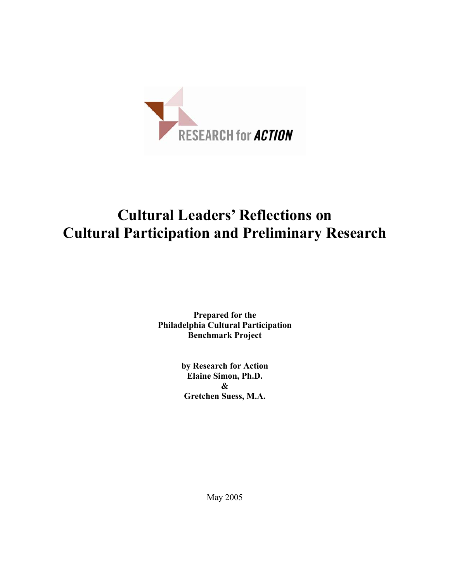

# **Cultural Leaders' Reflections on Cultural Participation and Preliminary Research**

**Prepared for the Philadelphia Cultural Participation Benchmark Project** 

> **by Research for Action Elaine Simon, Ph.D. & Gretchen Suess, M.A.**

> > May 2005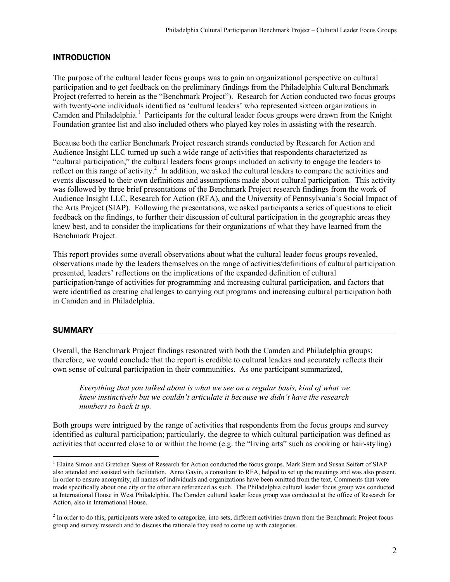# INTRODUCTION

The purpose of the cultural leader focus groups was to gain an organizational perspective on cultural participation and to get feedback on the preliminary findings from the Philadelphia Cultural Benchmark Project (referred to herein as the "Benchmark Project"). Research for Action conducted two focus groups with twenty-one individuals identified as 'cultural leaders' who represented sixteen organizations in Camden and Philadelphia.<sup>1</sup> Participants for the cultural leader focus groups were drawn from the Knight Foundation grantee list and also included others who played key roles in assisting with the research.

Because both the earlier Benchmark Project research strands conducted by Research for Action and Audience Insight LLC turned up such a wide range of activities that respondents characterized as "cultural participation," the cultural leaders focus groups included an activity to engage the leaders to reflect on this range of activity.<sup>2</sup> In addition, we asked the cultural leaders to compare the activities and events discussed to their own definitions and assumptions made about cultural participation. This activity was followed by three brief presentations of the Benchmark Project research findings from the work of Audience Insight LLC, Research for Action (RFA), and the University of Pennsylvania's Social Impact of the Arts Project (SIAP). Following the presentations, we asked participants a series of questions to elicit feedback on the findings, to further their discussion of cultural participation in the geographic areas they knew best, and to consider the implications for their organizations of what they have learned from the Benchmark Project.

This report provides some overall observations about what the cultural leader focus groups revealed, observations made by the leaders themselves on the range of activities/definitions of cultural participation presented, leaders' reflections on the implications of the expanded definition of cultural participation/range of activities for programming and increasing cultural participation, and factors that were identified as creating challenges to carrying out programs and increasing cultural participation both in Camden and in Philadelphia.

# **SUMMARY**

 $\overline{a}$ 

Overall, the Benchmark Project findings resonated with both the Camden and Philadelphia groups; therefore, we would conclude that the report is credible to cultural leaders and accurately reflects their own sense of cultural participation in their communities. As one participant summarized,

*Everything that you talked about is what we see on a regular basis, kind of what we knew instinctively but we couldn't articulate it because we didn't have the research numbers to back it up.* 

Both groups were intrigued by the range of activities that respondents from the focus groups and survey identified as cultural participation; particularly, the degree to which cultural participation was defined as activities that occurred close to or within the home (e.g. the "living arts" such as cooking or hair-styling)

<sup>&</sup>lt;sup>1</sup> Elaine Simon and Gretchen Suess of Research for Action conducted the focus groups. Mark Stern and Susan Seifert of SIAP also attended and assisted with facilitation. Anna Gavin, a consultant to RFA, helped to set up the meetings and was also present. In order to ensure anonymity, all names of individuals and organizations have been omitted from the text. Comments that were made specifically about one city or the other are referenced as such. The Philadelphia cultural leader focus group was conducted at International House in West Philadelphia. The Camden cultural leader focus group was conducted at the office of Research for Action, also in International House.

 $2<sup>2</sup>$  In order to do this, participants were asked to categorize, into sets, different activities drawn from the Benchmark Project focus group and survey research and to discuss the rationale they used to come up with categories.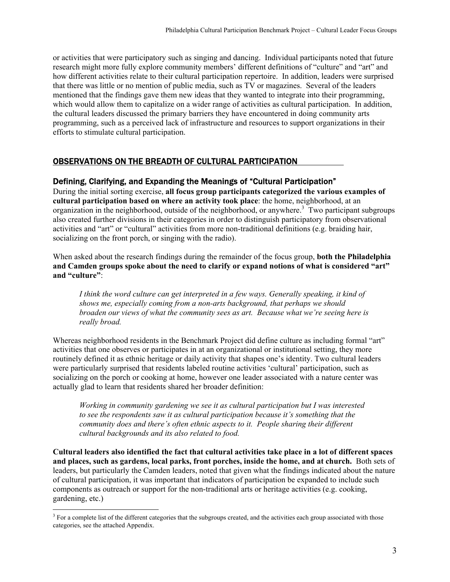or activities that were participatory such as singing and dancing. Individual participants noted that future research might more fully explore community members' different definitions of "culture" and "art" and how different activities relate to their cultural participation repertoire. In addition, leaders were surprised that there was little or no mention of public media, such as TV or magazines. Several of the leaders mentioned that the findings gave them new ideas that they wanted to integrate into their programming, which would allow them to capitalize on a wider range of activities as cultural participation. In addition, the cultural leaders discussed the primary barriers they have encountered in doing community arts programming, such as a perceived lack of infrastructure and resources to support organizations in their efforts to stimulate cultural participation.

# OBSERVATIONS ON THE BREADTH OF CULTURAL PARTICIPATION

# Defining, Clarifying, and Expanding the Meanings of "Cultural Participation"

During the initial sorting exercise, **all focus group participants categorized the various examples of cultural participation based on where an activity took place**: the home, neighborhood, at an organization in the neighborhood, outside of the neighborhood, or anywhere.<sup>3</sup> Two participant subgroups also created further divisions in their categories in order to distinguish participatory from observational activities and "art" or "cultural" activities from more non-traditional definitions (e.g. braiding hair, socializing on the front porch, or singing with the radio).

When asked about the research findings during the remainder of the focus group, **both the Philadelphia and Camden groups spoke about the need to clarify or expand notions of what is considered "art" and "culture"**:

*I think the word culture can get interpreted in a few ways. Generally speaking, it kind of shows me, especially coming from a non-arts background, that perhaps we should broaden our views of what the community sees as art. Because what we're seeing here is really broad.* 

Whereas neighborhood residents in the Benchmark Project did define culture as including formal "art" activities that one observes or participates in at an organizational or institutional setting, they more routinely defined it as ethnic heritage or daily activity that shapes one's identity. Two cultural leaders were particularly surprised that residents labeled routine activities 'cultural' participation, such as socializing on the porch or cooking at home, however one leader associated with a nature center was actually glad to learn that residents shared her broader definition:

*Working in community gardening we see it as cultural participation but I was interested to see the respondents saw it as cultural participation because it's something that the community does and there's often ethnic aspects to it. People sharing their different cultural backgrounds and its also related to food.* 

**Cultural leaders also identified the fact that cultural activities take place in a lot of different spaces and places, such as gardens, local parks, front porches, inside the home, and at church.** Both sets of leaders, but particularly the Camden leaders, noted that given what the findings indicated about the nature of cultural participation, it was important that indicators of participation be expanded to include such components as outreach or support for the non-traditional arts or heritage activities (e.g. cooking, gardening, etc.)

<sup>&</sup>lt;sup>3</sup> For a complete list of the different categories that the subgroups created, and the activities each group associated with those categories, see the attached Appendix.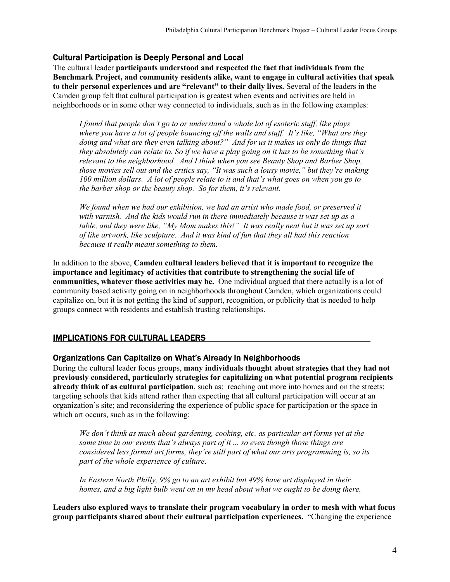# Cultural Participation is Deeply Personal and Local

The cultural leader **participants understood and respected the fact that individuals from the Benchmark Project, and community residents alike, want to engage in cultural activities that speak to their personal experiences and are "relevant" to their daily lives.** Several of the leaders in the Camden group felt that cultural participation is greatest when events and activities are held in neighborhoods or in some other way connected to individuals, such as in the following examples:

*I found that people don't go to or understand a whole lot of esoteric stuff, like plays where you have a lot of people bouncing off the walls and stuff. It's like, "What are they doing and what are they even talking about?" And for us it makes us only do things that they absolutely can relate to. So if we have a play going on it has to be something that's relevant to the neighborhood. And I think when you see Beauty Shop and Barber Shop, those movies sell out and the critics say, "It was such a lousy movie," but they're making 100 million dollars. A lot of people relate to it and that's what goes on when you go to the barber shop or the beauty shop. So for them, it's relevant.* 

*We found when we had our exhibition, we had an artist who made food, or preserved it with varnish. And the kids would run in there immediately because it was set up as a table, and they were like, "My Mom makes this!" It was really neat but it was set up sort of like artwork, like sculpture. And it was kind of fun that they all had this reaction because it really meant something to them.* 

In addition to the above, **Camden cultural leaders believed that it is important to recognize the importance and legitimacy of activities that contribute to strengthening the social life of communities, whatever those activities may be.** One individual argued that there actually is a lot of community based activity going on in neighborhoods throughout Camden, which organizations could capitalize on, but it is not getting the kind of support, recognition, or publicity that is needed to help groups connect with residents and establish trusting relationships.

## IMPLICATIONS FOR CULTURAL LEADERS

## Organizations Can Capitalize on What's Already in Neighborhoods

During the cultural leader focus groups, **many individuals thought about strategies that they had not previously considered, particularly strategies for capitalizing on what potential program recipients already think of as cultural participation**, such as: reaching out more into homes and on the streets; targeting schools that kids attend rather than expecting that all cultural participation will occur at an organization's site; and reconsidering the experience of public space for participation or the space in which art occurs, such as in the following:

*We don't think as much about gardening, cooking, etc. as particular art forms yet at the same time in our events that's always part of it ... so even though those things are considered less formal art forms, they're still part of what our arts programming is, so its part of the whole experience of culture*.

*In Eastern North Philly, 9% go to an art exhibit but 49% have art displayed in their homes, and a big light bulb went on in my head about what we ought to be doing there.* 

**Leaders also explored ways to translate their program vocabulary in order to mesh with what focus group participants shared about their cultural participation experiences.** "Changing the experience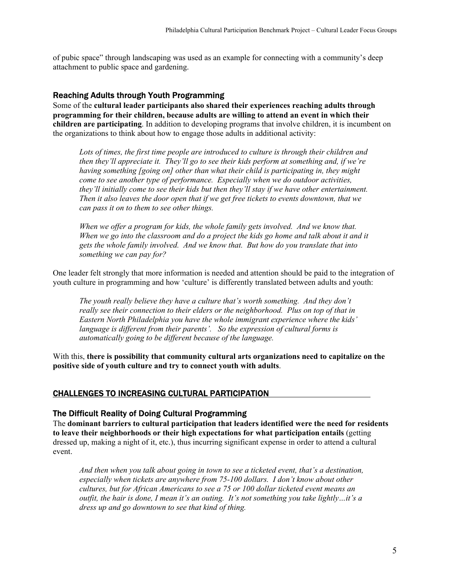of pubic space" through landscaping was used as an example for connecting with a community's deep attachment to public space and gardening.

#### Reaching Adults through Youth Programming

Some of the **cultural leader participants also shared their experiences reaching adults through programming for their children, because adults are willing to attend an event in which their children are participating**. In addition to developing programs that involve children, it is incumbent on the organizations to think about how to engage those adults in additional activity:

*Lots of times, the first time people are introduced to culture is through their children and then they'll appreciate it. They'll go to see their kids perform at something and, if we're having something [going on] other than what their child is participating in, they might come to see another type of performance. Especially when we do outdoor activities, they'll initially come to see their kids but then they'll stay if we have other entertainment. Then it also leaves the door open that if we get free tickets to events downtown, that we can pass it on to them to see other things.* 

*When we offer a program for kids, the whole family gets involved. And we know that.*  When we go into the classroom and do a project the kids go home and talk about it and it *gets the whole family involved. And we know that. But how do you translate that into something we can pay for?* 

One leader felt strongly that more information is needed and attention should be paid to the integration of youth culture in programming and how 'culture' is differently translated between adults and youth:

*The youth really believe they have a culture that's worth something. And they don't really see their connection to their elders or the neighborhood. Plus on top of that in Eastern North Philadelphia you have the whole immigrant experience where the kids' language is different from their parents'. So the expression of cultural forms is automatically going to be different because of the language.* 

With this, **there is possibility that community cultural arts organizations need to capitalize on the positive side of youth culture and try to connect youth with adults**.

#### CHALLENGES TO INCREASING CULTURAL PARTICIPATION

#### The Difficult Reality of Doing Cultural Programming

The **dominant barriers to cultural participation that leaders identified were the need for residents to leave their neighborhoods or their high expectations for what participation entails** (getting dressed up, making a night of it, etc.), thus incurring significant expense in order to attend a cultural event.

*And then when you talk about going in town to see a ticketed event, that's a destination, especially when tickets are anywhere from 75-100 dollars. I don't know about other cultures, but for African Americans to see a 75 or 100 dollar ticketed event means an outfit, the hair is done, I mean it's an outing. It's not something you take lightly…it's a dress up and go downtown to see that kind of thing.*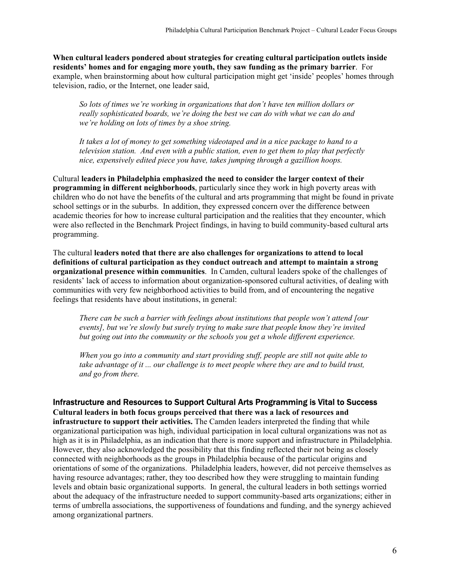**When cultural leaders pondered about strategies for creating cultural participation outlets inside residents' homes and for engaging more youth, they saw funding as the primary barrier**. For example, when brainstorming about how cultural participation might get 'inside' peoples' homes through television, radio, or the Internet, one leader said,

*So lots of times we're working in organizations that don't have ten million dollars or really sophisticated boards, we're doing the best we can do with what we can do and we're holding on lots of times by a shoe string.* 

*It takes a lot of money to get something videotaped and in a nice package to hand to a television station. And even with a public station, even to get them to play that perfectly nice, expensively edited piece you have, takes jumping through a gazillion hoops.* 

Cultural **leaders in Philadelphia emphasized the need to consider the larger context of their programming in different neighborhoods**, particularly since they work in high poverty areas with children who do not have the benefits of the cultural and arts programming that might be found in private school settings or in the suburbs. In addition, they expressed concern over the difference between academic theories for how to increase cultural participation and the realities that they encounter, which were also reflected in the Benchmark Project findings, in having to build community-based cultural arts programming.

The cultural **leaders noted that there are also challenges for organizations to attend to local definitions of cultural participation as they conduct outreach and attempt to maintain a strong organizational presence within communities**. In Camden, cultural leaders spoke of the challenges of residents' lack of access to information about organization-sponsored cultural activities, of dealing with communities with very few neighborhood activities to build from, and of encountering the negative feelings that residents have about institutions, in general:

*There can be such a barrier with feelings about institutions that people won't attend [our events], but we're slowly but surely trying to make sure that people know they're invited but going out into the community or the schools you get a whole different experience.* 

*When you go into a community and start providing stuff, people are still not quite able to take advantage of it ... our challenge is to meet people where they are and to build trust, and go from there.* 

#### Infrastructure and Resources to Support Cultural Arts Programming is Vital to Success

**Cultural leaders in both focus groups perceived that there was a lack of resources and infrastructure to support their activities.** The Camden leaders interpreted the finding that while organizational participation was high, individual participation in local cultural organizations was not as high as it is in Philadelphia, as an indication that there is more support and infrastructure in Philadelphia. However, they also acknowledged the possibility that this finding reflected their not being as closely connected with neighborhoods as the groups in Philadelphia because of the particular origins and orientations of some of the organizations. Philadelphia leaders, however, did not perceive themselves as having resource advantages; rather, they too described how they were struggling to maintain funding levels and obtain basic organizational supports. In general, the cultural leaders in both settings worried about the adequacy of the infrastructure needed to support community-based arts organizations; either in terms of umbrella associations, the supportiveness of foundations and funding, and the synergy achieved among organizational partners.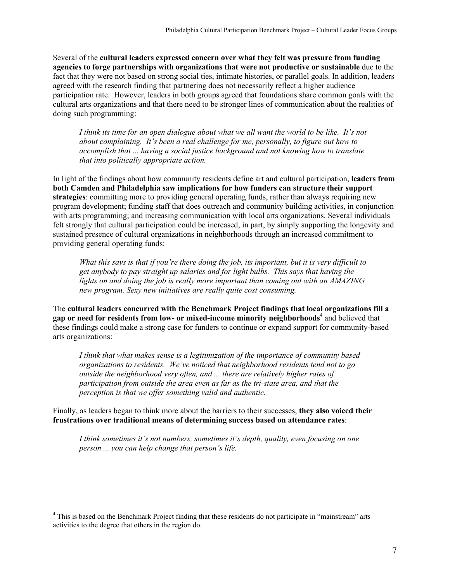Several of the **cultural leaders expressed concern over what they felt was pressure from funding agencies to forge partnerships with organizations that were not productive or sustainable** due to the fact that they were not based on strong social ties, intimate histories, or parallel goals. In addition, leaders agreed with the research finding that partnering does not necessarily reflect a higher audience participation rate. However, leaders in both groups agreed that foundations share common goals with the cultural arts organizations and that there need to be stronger lines of communication about the realities of doing such programming:

*I think its time for an open dialogue about what we all want the world to be like. It's not about complaining. It's been a real challenge for me, personally, to figure out how to accomplish that ... having a social justice background and not knowing how to translate that into politically appropriate action.* 

In light of the findings about how community residents define art and cultural participation, **leaders from both Camden and Philadelphia saw implications for how funders can structure their support strategies**: committing more to providing general operating funds, rather than always requiring new program development; funding staff that does outreach and community building activities, in conjunction with arts programming; and increasing communication with local arts organizations. Several individuals felt strongly that cultural participation could be increased, in part, by simply supporting the longevity and sustained presence of cultural organizations in neighborhoods through an increased commitment to providing general operating funds:

*What this says is that if you're there doing the job, its important, but it is very difficult to get anybody to pay straight up salaries and for light bulbs. This says that having the lights on and doing the job is really more important than coming out with an AMAZING new program. Sexy new initiatives are really quite cost consuming.* 

The **cultural leaders concurred with the Benchmark Project findings that local organizations fill a**  gap or need for residents from low- or mixed-income minority neighborhoods<sup>4</sup> and believed that these findings could make a strong case for funders to continue or expand support for community-based arts organizations:

*I think that what makes sense is a legitimization of the importance of community based organizations to residents. We've noticed that neighborhood residents tend not to go outside the neighborhood very often, and ... there are relatively higher rates of participation from outside the area even as far as the tri-state area, and that the perception is that we offer something valid and authentic.* 

Finally, as leaders began to think more about the barriers to their successes, **they also voiced their frustrations over traditional means of determining success based on attendance rates**:

*I think sometimes it's not numbers, sometimes it's depth, quality, even focusing on one person ... you can help change that person's life.* 

 $\overline{a}$ 

<sup>&</sup>lt;sup>4</sup> This is based on the Benchmark Project finding that these residents do not participate in "mainstream" arts activities to the degree that others in the region do.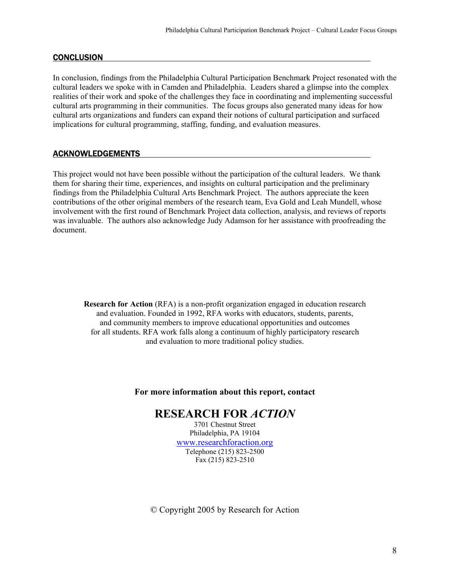## **CONCLUSION**

In conclusion, findings from the Philadelphia Cultural Participation Benchmark Project resonated with the cultural leaders we spoke with in Camden and Philadelphia. Leaders shared a glimpse into the complex realities of their work and spoke of the challenges they face in coordinating and implementing successful cultural arts programming in their communities. The focus groups also generated many ideas for how cultural arts organizations and funders can expand their notions of cultural participation and surfaced implications for cultural programming, staffing, funding, and evaluation measures.

## ACKNOWLEDGEMENTS

This project would not have been possible without the participation of the cultural leaders. We thank them for sharing their time, experiences, and insights on cultural participation and the preliminary findings from the Philadelphia Cultural Arts Benchmark Project. The authors appreciate the keen contributions of the other original members of the research team, Eva Gold and Leah Mundell, whose involvement with the first round of Benchmark Project data collection, analysis, and reviews of reports was invaluable. The authors also acknowledge Judy Adamson for her assistance with proofreading the document.

**Research for Action** (RFA) is a non-profit organization engaged in education research and evaluation. Founded in 1992, RFA works with educators, students, parents, and community members to improve educational opportunities and outcomes for all students. RFA work falls along a continuum of highly participatory research and evaluation to more traditional policy studies.

#### **For more information about this report, contact**

# **RESEARCH FOR** *ACTION*

3701 Chestnut Street Philadelphia, PA 19104 www.researchforaction.org Telephone (215) 823-2500 Fax (215) 823-2510

© Copyright 2005 by Research for Action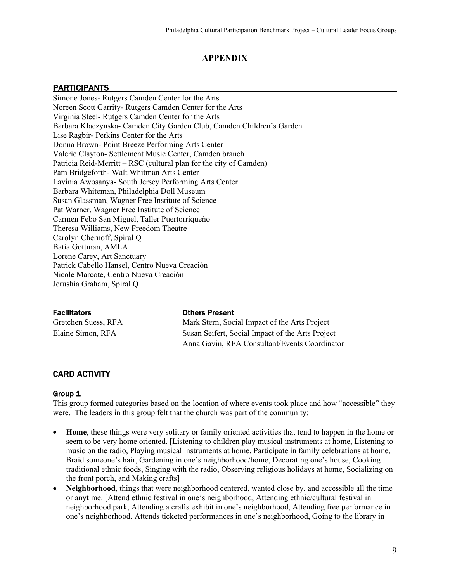## **APPENDIX**

#### **PARTICIPANTS**

Simone Jones- Rutgers Camden Center for the Arts Noreen Scott Garrity- Rutgers Camden Center for the Arts Virginia Steel- Rutgers Camden Center for the Arts Barbara Klaczynska- Camden City Garden Club, Camden Children's Garden Lise Ragbir- Perkins Center for the Arts Donna Brown- Point Breeze Performing Arts Center Valerie Clayton- Settlement Music Center, Camden branch Patricia Reid-Merritt – RSC (cultural plan for the city of Camden) Pam Bridgeforth- Walt Whitman Arts Center Lavinia Awosanya- South Jersey Performing Arts Center Barbara Whiteman, Philadelphia Doll Museum Susan Glassman, Wagner Free Institute of Science Pat Warner, Wagner Free Institute of Science Carmen Febo San Miguel, Taller Puertorriqueño Theresa Williams, New Freedom Theatre Carolyn Chernoff, Spiral Q Batia Gottman, AMLA Lorene Carey, Art Sanctuary Patrick Cabello Hansel, Centro Nueva Creación Nicole Marcote, Centro Nueva Creación Jerushia Graham, Spiral Q

#### Facilitators Others Present

Gretchen Suess, RFA Mark Stern, Social Impact of the Arts Project Elaine Simon, RFA Susan Seifert, Social Impact of the Arts Project Anna Gavin, RFA Consultant/Events Coordinator

#### CARD ACTIVITY

#### Group 1

This group formed categories based on the location of where events took place and how "accessible" they were. The leaders in this group felt that the church was part of the community:

- **Home**, these things were very solitary or family oriented activities that tend to happen in the home or seem to be very home oriented. [Listening to children play musical instruments at home, Listening to music on the radio, Playing musical instruments at home, Participate in family celebrations at home, Braid someone's hair, Gardening in one's neighborhood/home, Decorating one's house, Cooking traditional ethnic foods, Singing with the radio, Observing religious holidays at home, Socializing on the front porch, and Making crafts]
- **Neighborhood**, things that were neighborhood centered, wanted close by, and accessible all the time or anytime. [Attend ethnic festival in one's neighborhood, Attending ethnic/cultural festival in neighborhood park, Attending a crafts exhibit in one's neighborhood, Attending free performance in one's neighborhood, Attends ticketed performances in one's neighborhood, Going to the library in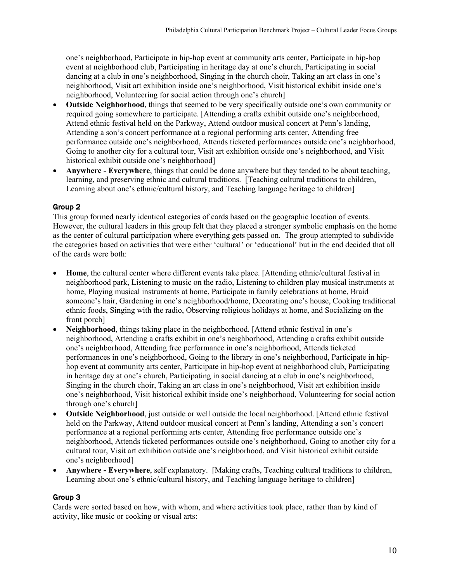one's neighborhood, Participate in hip-hop event at community arts center, Participate in hip-hop event at neighborhood club, Participating in heritage day at one's church, Participating in social dancing at a club in one's neighborhood, Singing in the church choir, Taking an art class in one's neighborhood, Visit art exhibition inside one's neighborhood, Visit historical exhibit inside one's neighborhood, Volunteering for social action through one's church]

- **Outside Neighborhood**, things that seemed to be very specifically outside one's own community or required going somewhere to participate. [Attending a crafts exhibit outside one's neighborhood, Attend ethnic festival held on the Parkway, Attend outdoor musical concert at Penn's landing, Attending a son's concert performance at a regional performing arts center, Attending free performance outside one's neighborhood, Attends ticketed performances outside one's neighborhood, Going to another city for a cultural tour, Visit art exhibition outside one's neighborhood, and Visit historical exhibit outside one's neighborhood]
- **Anywhere Everywhere**, things that could be done anywhere but they tended to be about teaching, learning, and preserving ethnic and cultural traditions. [Teaching cultural traditions to children, Learning about one's ethnic/cultural history, and Teaching language heritage to children]

## Group 2

This group formed nearly identical categories of cards based on the geographic location of events. However, the cultural leaders in this group felt that they placed a stronger symbolic emphasis on the home as the center of cultural participation where everything gets passed on. The group attempted to subdivide the categories based on activities that were either 'cultural' or 'educational' but in the end decided that all of the cards were both:

- **Home**, the cultural center where different events take place. [Attending ethnic/cultural festival in neighborhood park, Listening to music on the radio, Listening to children play musical instruments at home, Playing musical instruments at home, Participate in family celebrations at home, Braid someone's hair, Gardening in one's neighborhood/home, Decorating one's house, Cooking traditional ethnic foods, Singing with the radio, Observing religious holidays at home, and Socializing on the front porch]
- **Neighborhood**, things taking place in the neighborhood. [Attend ethnic festival in one's neighborhood, Attending a crafts exhibit in one's neighborhood, Attending a crafts exhibit outside one's neighborhood, Attending free performance in one's neighborhood, Attends ticketed performances in one's neighborhood, Going to the library in one's neighborhood, Participate in hiphop event at community arts center, Participate in hip-hop event at neighborhood club, Participating in heritage day at one's church, Participating in social dancing at a club in one's neighborhood, Singing in the church choir, Taking an art class in one's neighborhood, Visit art exhibition inside one's neighborhood, Visit historical exhibit inside one's neighborhood, Volunteering for social action through one's church]
- **Outside Neighborhood**, just outside or well outside the local neighborhood. [Attend ethnic festival held on the Parkway, Attend outdoor musical concert at Penn's landing, Attending a son's concert performance at a regional performing arts center, Attending free performance outside one's neighborhood, Attends ticketed performances outside one's neighborhood, Going to another city for a cultural tour, Visit art exhibition outside one's neighborhood, and Visit historical exhibit outside one's neighborhood]
- **Anywhere Everywhere**, self explanatory. [Making crafts, Teaching cultural traditions to children, Learning about one's ethnic/cultural history, and Teaching language heritage to children]

## Group 3

Cards were sorted based on how, with whom, and where activities took place, rather than by kind of activity, like music or cooking or visual arts: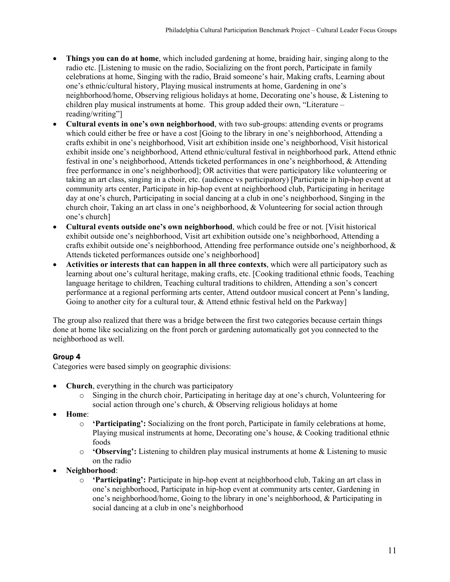- **Things you can do at home**, which included gardening at home, braiding hair, singing along to the radio etc. [Listening to music on the radio, Socializing on the front porch, Participate in family celebrations at home, Singing with the radio, Braid someone's hair, Making crafts, Learning about one's ethnic/cultural history, Playing musical instruments at home, Gardening in one's neighborhood/home, Observing religious holidays at home, Decorating one's house, & Listening to children play musical instruments at home. This group added their own, "Literature – reading/writing"]
- **Cultural events in one's own neighborhood**, with two sub-groups: attending events or programs which could either be free or have a cost [Going to the library in one's neighborhood, Attending a crafts exhibit in one's neighborhood, Visit art exhibition inside one's neighborhood, Visit historical exhibit inside one's neighborhood, Attend ethnic/cultural festival in neighborhood park, Attend ethnic festival in one's neighborhood, Attends ticketed performances in one's neighborhood, & Attending free performance in one's neighborhood]; OR activities that were participatory like volunteering or taking an art class, singing in a choir, etc. (audience vs participatory) [Participate in hip-hop event at community arts center, Participate in hip-hop event at neighborhood club, Participating in heritage day at one's church, Participating in social dancing at a club in one's neighborhood, Singing in the church choir, Taking an art class in one's neighborhood, & Volunteering for social action through one's church]
- **Cultural events outside one's own neighborhood**, which could be free or not. [Visit historical exhibit outside one's neighborhood, Visit art exhibition outside one's neighborhood, Attending a crafts exhibit outside one's neighborhood, Attending free performance outside one's neighborhood,  $\&$ Attends ticketed performances outside one's neighborhood]
- **Activities or interests that can happen in all three contexts**, which were all participatory such as learning about one's cultural heritage, making crafts, etc. [Cooking traditional ethnic foods, Teaching language heritage to children, Teaching cultural traditions to children, Attending a son's concert performance at a regional performing arts center, Attend outdoor musical concert at Penn's landing, Going to another city for a cultural tour, & Attend ethnic festival held on the Parkway

The group also realized that there was a bridge between the first two categories because certain things done at home like socializing on the front porch or gardening automatically got you connected to the neighborhood as well.

# Group 4

Categories were based simply on geographic divisions:

- **Church**, everything in the church was participatory
	- o Singing in the church choir, Participating in heritage day at one's church, Volunteering for social action through one's church, & Observing religious holidays at home
- **Home**:
	- o **'Participating':** Socializing on the front porch, Participate in family celebrations at home, Playing musical instruments at home, Decorating one's house, & Cooking traditional ethnic foods
	- o **'Observing':** Listening to children play musical instruments at home & Listening to music on the radio
- **Neighborhood**:
	- o **'Participating':** Participate in hip-hop event at neighborhood club, Taking an art class in one's neighborhood, Participate in hip-hop event at community arts center, Gardening in one's neighborhood/home, Going to the library in one's neighborhood, & Participating in social dancing at a club in one's neighborhood